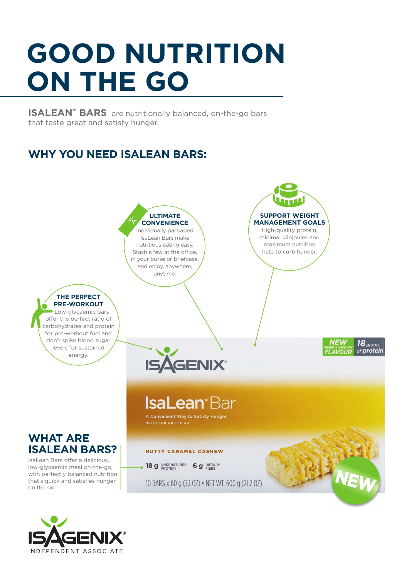# **GOOD NUTRITION ON THE GO**

**ISALEAN™ BARS** are nutritionally balanced, on-the-go bars that taste great and satisfy hunger.

## **WHY YOU NEED ISALEAN BARS:**